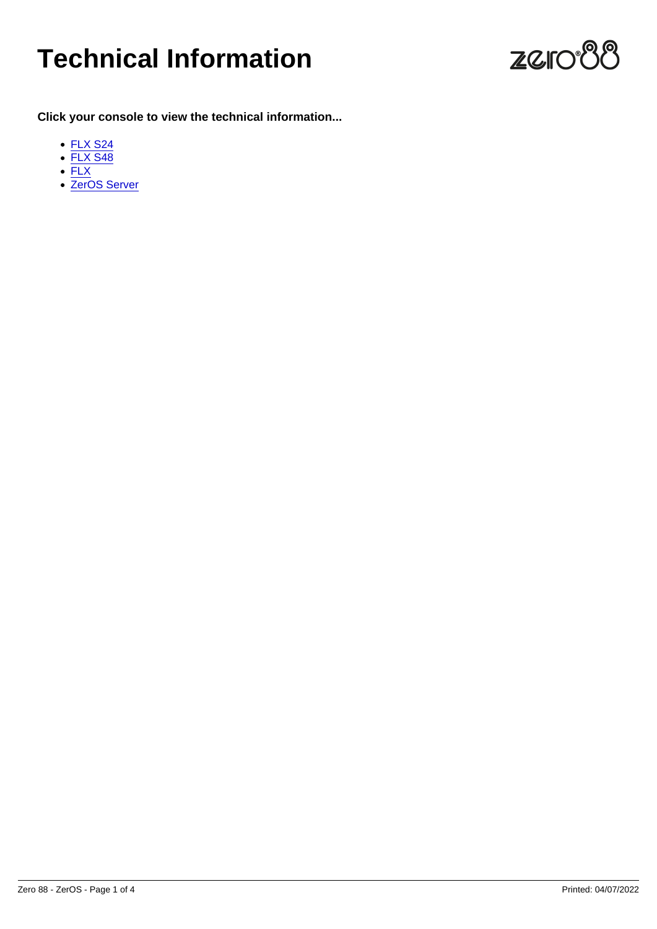# Technical Information

Click your console to view the technical information...

- [FLX S24](/manuals/zeros/technical-information/flx-s24-and-flx-s48)
- [FLX S48](/manuals/zeros/technical-information/flx-s24-and-flx-s48)
- [FLX](/manuals/zeros/technical-information/flx-and-zeros-server)
- [ZerOS Server](/manuals/zeros/technical-information/flx-and-zeros-server)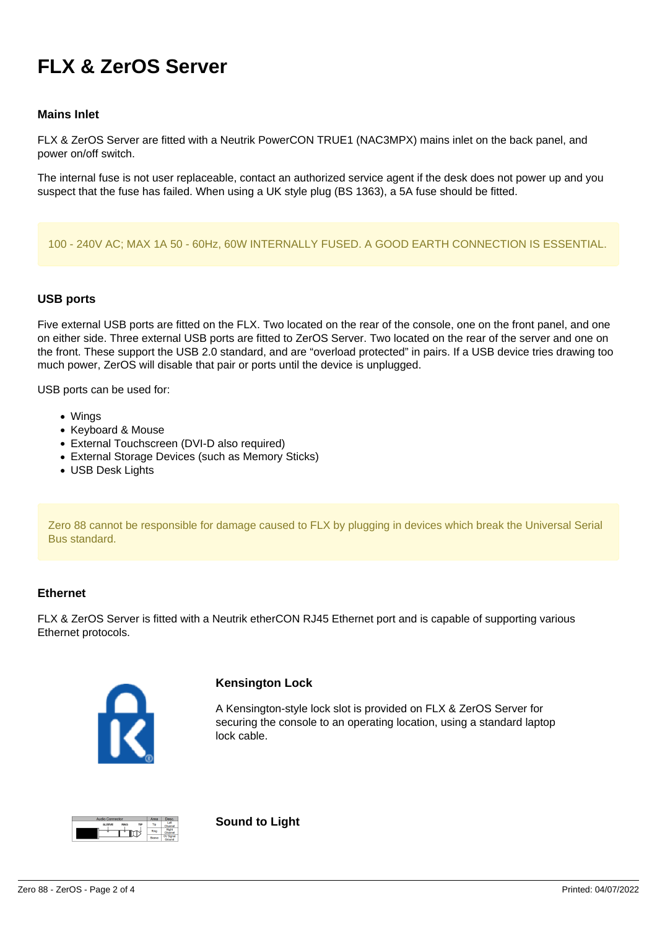# **FLX & ZerOS Server**

# **Mains Inlet**

FLX & ZerOS Server are fitted with a Neutrik PowerCON TRUE1 (NAC3MPX) mains inlet on the back panel, and power on/off switch.

The internal fuse is not user replaceable, contact an authorized service agent if the desk does not power up and you suspect that the fuse has failed. When using a UK style plug (BS 1363), a 5A fuse should be fitted.

#### 100 - 240V AC; MAX 1A 50 - 60Hz, 60W INTERNALLY FUSED. A GOOD EARTH CONNECTION IS ESSENTIAL.

# **USB ports**

Five external USB ports are fitted on the FLX. Two located on the rear of the console, one on the front panel, and one on either side. Three external USB ports are fitted to ZerOS Server. Two located on the rear of the server and one on the front. These support the USB 2.0 standard, and are "overload protected" in pairs. If a USB device tries drawing too much power, ZerOS will disable that pair or ports until the device is unplugged.

USB ports can be used for:

- Wings
- Keyboard & Mouse
- External Touchscreen (DVI-D also required)
- External Storage Devices (such as Memory Sticks)
- USB Desk Lights

Zero 88 cannot be responsible for damage caused to FLX by plugging in devices which break the Universal Serial Bus standard.

#### **Ethernet**

FLX & ZerOS Server is fitted with a Neutrik etherCON RJ45 Ethernet port and is capable of supporting various Ethernet protocols.



#### **Kensington Lock**

A Kensington-style lock slot is provided on FLX & ZerOS Server for securing the console to an operating location, using a standard laptop lock cable.



**Sound to Light**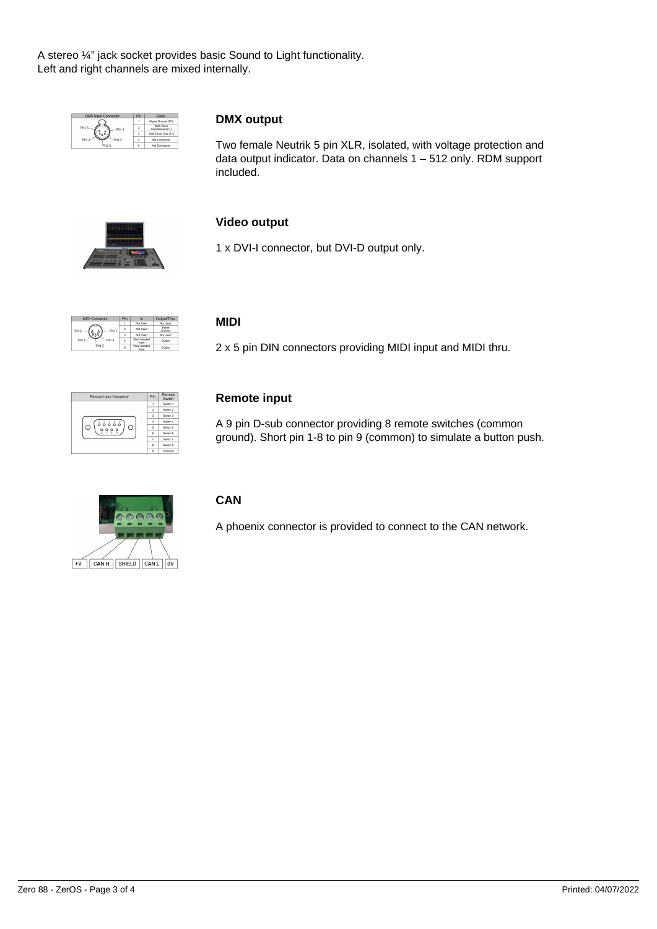A stereo ¼" jack socket provides basic Sound to Light functionality. Left and right channels are mixed internally.

| <b>DMX Input Connector</b> | Pin | Desc.                               |
|----------------------------|-----|-------------------------------------|
|                            |     | Signal Ground (0V)                  |
| PIN <sub>5</sub><br>PIN 1  | ۰   | <b>DMX Drive</b><br>Complement (1-) |
|                            | ×   | DMX Drive True (1+)                 |
| PIN<br>PIN <sub>2</sub>    |     | <b>Not Connected</b>                |
| PIN <sub>3</sub>           | r,  | Not Connected                       |

# **DMX output**

Two female Neutrik 5 pin XLR, isolated, with voltage protection and data output indicator. Data on channels 1 – 512 only. RDM support included.



# **Video output**

1 x DVI-I connector, but DVI-D output only.

| <b>MIDI Connector</b>     | Pin | In                     | Output/Thru      |
|---------------------------|-----|------------------------|------------------|
|                           |     | Not Used               | <b>Not Used</b>  |
| PIN <sub>3</sub><br>PIN 1 | 2   | Not Used               | Signal<br>Ground |
|                           |     | Not Used               | <b>Not Used</b>  |
| PIN 5<br>PIN 4            |     | Opto Isolated<br>Input | Output           |
| PIN <sub>2</sub>          | 5   | Opto Isolated<br>Input | Output           |

# **MIDI**

2 x 5 pin DIN connectors providing MIDI input and MIDI thru.

| <b>Remote Input Connector</b>                                                             | Pin | Remote<br>Switch    |
|-------------------------------------------------------------------------------------------|-----|---------------------|
| $\frac{1}{6} \overset{?}{6} \overset{?}{6} \overset{?}{6} \overset{?}{6}$<br>L.<br>C<br>۰ |     | Switch 1            |
|                                                                                           | ö   | Switch <sub>2</sub> |
|                                                                                           | ä   | Swedb 3             |
|                                                                                           | ă   | Sweep 4             |
|                                                                                           | ś   | Switch 5            |
|                                                                                           | A   | Switch 6            |
|                                                                                           |     | Switch 7            |
|                                                                                           | å   | Switch 8            |
|                                                                                           | Ä   | Common              |

# **Remote input**

A 9 pin D-sub connector providing 8 remote switches (common ground). Short pin 1-8 to pin 9 (common) to simulate a button push.



# **CAN**

A phoenix connector is provided to connect to the CAN network.